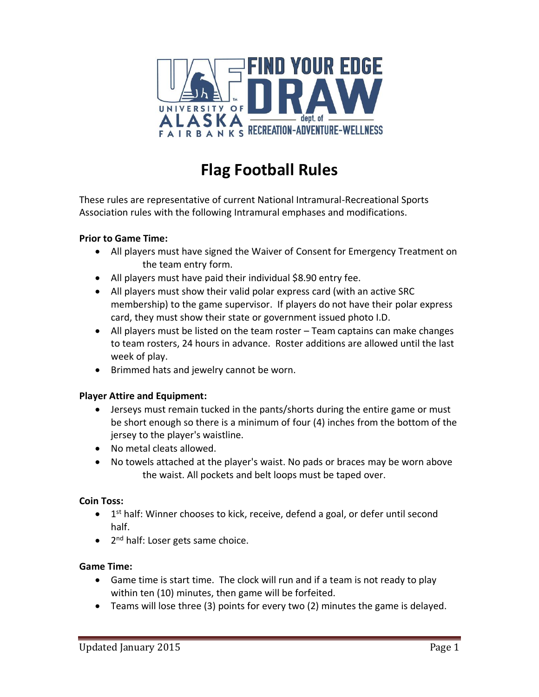

# **Flag Football Rules**

These rules are representative of current National Intramural-Recreational Sports Association rules with the following Intramural emphases and modifications.

# **Prior to Game Time:**

- All players must have signed the Waiver of Consent for Emergency Treatment on the team entry form.
- All players must have paid their individual \$8.90 entry fee.
- All players must show their valid polar express card (with an active SRC membership) to the game supervisor. If players do not have their polar express card, they must show their state or government issued photo I.D.
- All players must be listed on the team roster Team captains can make changes to team rosters, 24 hours in advance. Roster additions are allowed until the last week of play.
- Brimmed hats and jewelry cannot be worn.

# **Player Attire and Equipment:**

- Jerseys must remain tucked in the pants/shorts during the entire game or must be short enough so there is a minimum of four (4) inches from the bottom of the jersey to the player's waistline.
- No metal cleats allowed.
- No towels attached at the player's waist. No pads or braces may be worn above the waist. All pockets and belt loops must be taped over.

# **Coin Toss:**

- 1<sup>st</sup> half: Winner chooses to kick, receive, defend a goal, or defer until second half.
- 2<sup>nd</sup> half: Loser gets same choice.

# **Game Time:**

- Game time is start time. The clock will run and if a team is not ready to play within ten (10) minutes, then game will be forfeited.
- Teams will lose three (3) points for every two (2) minutes the game is delayed.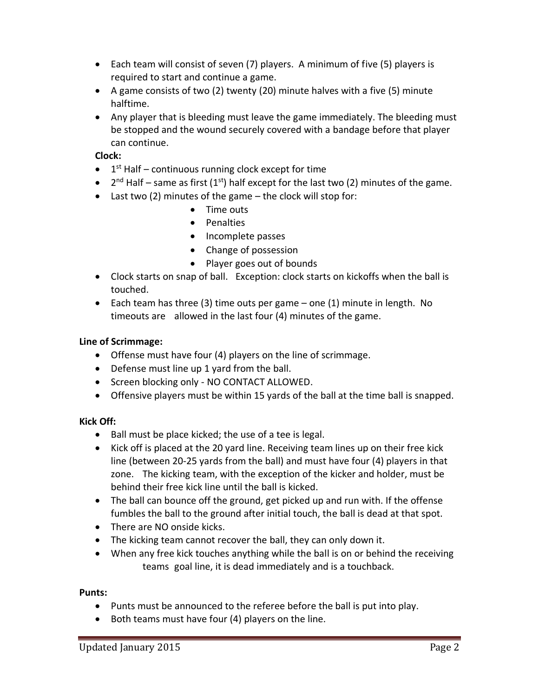- Each team will consist of seven (7) players. A minimum of five (5) players is required to start and continue a game.
- A game consists of two (2) twenty (20) minute halves with a five (5) minute halftime.
- Any player that is bleeding must leave the game immediately. The bleeding must be stopped and the wound securely covered with a bandage before that player can continue.

**Clock:**

- $\bullet$  1<sup>st</sup> Half continuous running clock except for time
- $2^{nd}$  Half same as first (1<sup>st</sup>) half except for the last two (2) minutes of the game.
- Last two (2) minutes of the game the clock will stop for:
	- Time outs
	- Penalties
	- Incomplete passes
	- Change of possession
	- Player goes out of bounds
- Clock starts on snap of ball. Exception: clock starts on kickoffs when the ball is touched.
- Each team has three (3) time outs per game one (1) minute in length. No timeouts are allowed in the last four (4) minutes of the game.

# **Line of Scrimmage:**

- Offense must have four (4) players on the line of scrimmage.
- Defense must line up 1 yard from the ball.
- Screen blocking only NO CONTACT ALLOWED.
- Offensive players must be within 15 yards of the ball at the time ball is snapped.

# **Kick Off:**

- Ball must be place kicked; the use of a tee is legal.
- Kick off is placed at the 20 yard line. Receiving team lines up on their free kick line (between 20-25 yards from the ball) and must have four (4) players in that zone. The kicking team, with the exception of the kicker and holder, must be behind their free kick line until the ball is kicked.
- The ball can bounce off the ground, get picked up and run with. If the offense fumbles the ball to the ground after initial touch, the ball is dead at that spot.
- There are NO onside kicks.
- The kicking team cannot recover the ball, they can only down it.
- When any free kick touches anything while the ball is on or behind the receiving teams goal line, it is dead immediately and is a touchback.

# **Punts:**

- Punts must be announced to the referee before the ball is put into play.
- Both teams must have four (4) players on the line.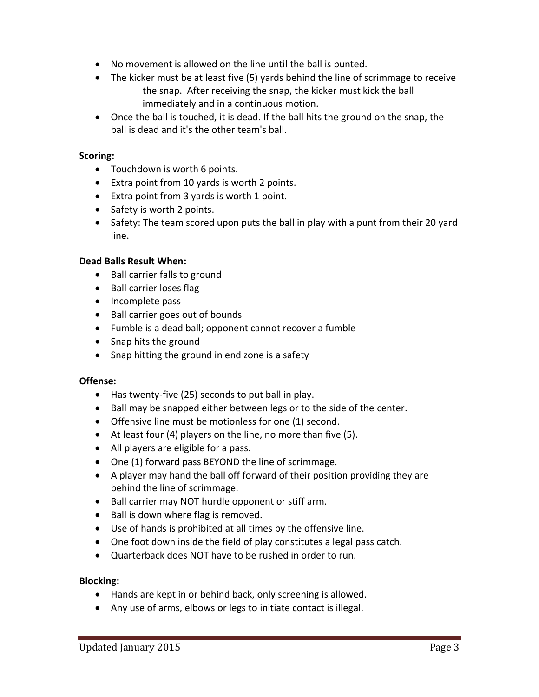- No movement is allowed on the line until the ball is punted.
- The kicker must be at least five (5) yards behind the line of scrimmage to receive the snap. After receiving the snap, the kicker must kick the ball immediately and in a continuous motion.
- Once the ball is touched, it is dead. If the ball hits the ground on the snap, the ball is dead and it's the other team's ball.

## **Scoring:**

- Touchdown is worth 6 points.
- Extra point from 10 yards is worth 2 points.
- Extra point from 3 yards is worth 1 point.
- Safety is worth 2 points.
- Safety: The team scored upon puts the ball in play with a punt from their 20 yard line.

## **Dead Balls Result When:**

- Ball carrier falls to ground
- Ball carrier loses flag
- Incomplete pass
- Ball carrier goes out of bounds
- Fumble is a dead ball; opponent cannot recover a fumble
- Snap hits the ground
- Snap hitting the ground in end zone is a safety

#### **Offense:**

- Has twenty-five (25) seconds to put ball in play.
- Ball may be snapped either between legs or to the side of the center.
- Offensive line must be motionless for one (1) second.
- At least four (4) players on the line, no more than five (5).
- All players are eligible for a pass.
- One (1) forward pass BEYOND the line of scrimmage.
- A player may hand the ball off forward of their position providing they are behind the line of scrimmage.
- Ball carrier may NOT hurdle opponent or stiff arm.
- Ball is down where flag is removed.
- Use of hands is prohibited at all times by the offensive line.
- One foot down inside the field of play constitutes a legal pass catch.
- Quarterback does NOT have to be rushed in order to run.

#### **Blocking:**

- Hands are kept in or behind back, only screening is allowed.
- Any use of arms, elbows or legs to initiate contact is illegal.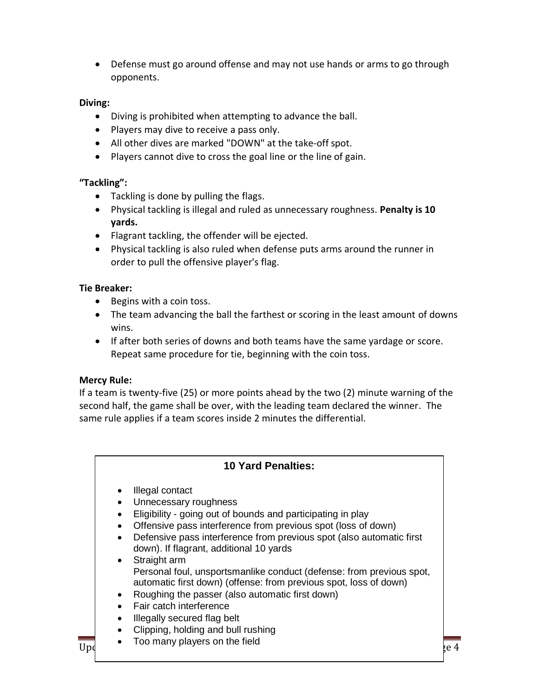• Defense must go around offense and may not use hands or arms to go through opponents.

## **Diving:**

- Diving is prohibited when attempting to advance the ball.
- Players may dive to receive a pass only.
- All other dives are marked "DOWN" at the take-off spot.
- Players cannot dive to cross the goal line or the line of gain.

# **"Tackling":**

- Tackling is done by pulling the flags.
- Physical tackling is illegal and ruled as unnecessary roughness. **Penalty is 10 yards.**
- Flagrant tackling, the offender will be ejected.
- Physical tackling is also ruled when defense puts arms around the runner in order to pull the offensive player's flag.

# **Tie Breaker:**

- Begins with a coin toss.
- The team advancing the ball the farthest or scoring in the least amount of downs wins.
- If after both series of downs and both teams have the same yardage or score. Repeat same procedure for tie, beginning with the coin toss.

# **Mercy Rule:**

If a team is twenty-five (25) or more points ahead by the two (2) minute warning of the second half, the game shall be over, with the leading team declared the winner. The same rule applies if a team scores inside 2 minutes the differential.

# **10 Yard Penalties:**

- Illegal contact
- Unnecessary roughness
- Eligibility going out of bounds and participating in play
- Offensive pass interference from previous spot (loss of down)
- Defensive pass interference from previous spot (also automatic first down). If flagrant, additional 10 yards
- Straight arm Personal foul, unsportsmanlike conduct (defense: from previous spot, automatic first down) (offense: from previous spot, loss of down)
- Roughing the passer (also automatic first down)
- Fair catch interference
- Illegally secured flag belt
- Clipping, holding and bull rushing
- $\frac{1}{\sqrt{2}}$  Too many players on the field  $\frac{1}{\sqrt{2}}$   $\frac{1}{\sqrt{2}}$   $\frac{1}{\sqrt{2}}$   $\frac{1}{\sqrt{2}}$